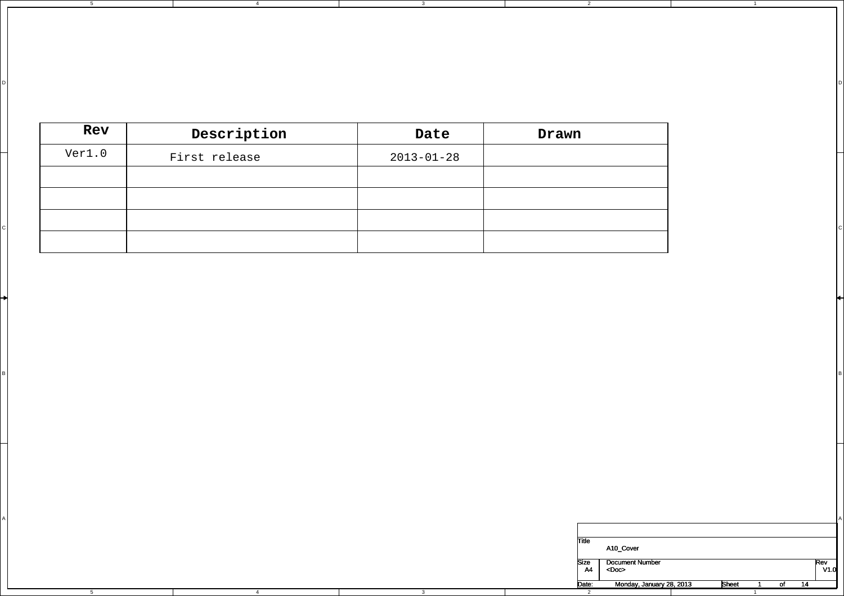| Rev    | Description   | Date             | Drawn |
|--------|---------------|------------------|-------|
| Ver1.0 | First release | $2013 - 01 - 28$ |       |
|        |               |                  |       |
|        |               |                  |       |
|        |               |                  |       |
|        |               |                  |       |

3

D I DIRECT DIRECT DIRECT DIRECT DIRECT DIRECT DIRECT DIRECT DIRECT DIRECT DIRECT DIRECT DIRECT DIRECT DIRECT D

2

3

A International contract of the contract of the contract of the contract of the contract of the contract of the contract of the contract of the contract of the contract of the contract of the contract of the contract of th

в произведения с произведения в соответстве и произведения с произведения и произведения и произведения и прои<br>В произведения с произведения и произведения и произведения и произведения и произведения и произведения и про

4

4

5

D

A

5

| Title      | A <sub>10</sub> Cover                 |              |    |    |             |
|------------|---------------------------------------|--------------|----|----|-------------|
| Size<br>A4 | <b>Document Number</b><br>$<$ Doc $>$ |              |    |    | Rev<br>V1.0 |
| Date:      | Monday, January 28, 2013              | <b>Sheet</b> | O1 | 14 |             |
| っ          |                                       |              |    |    |             |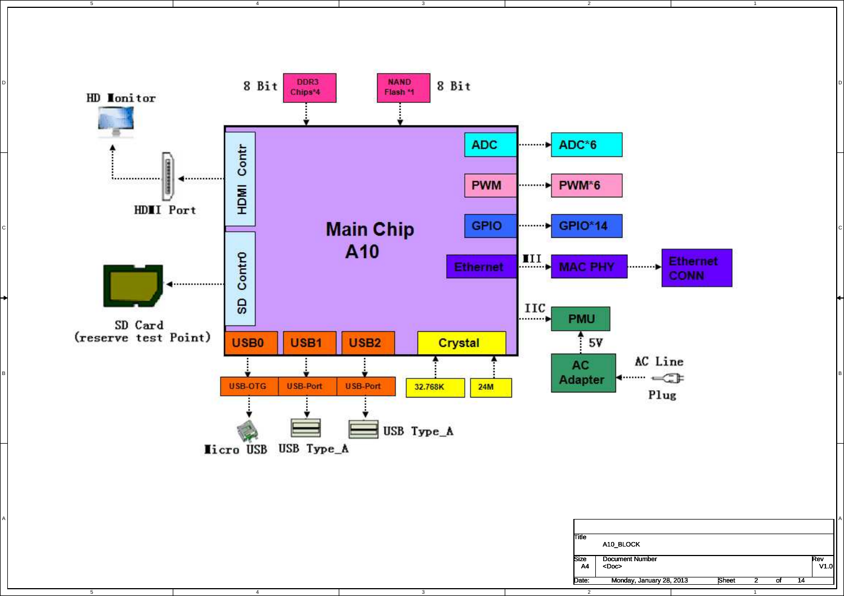

D

C

A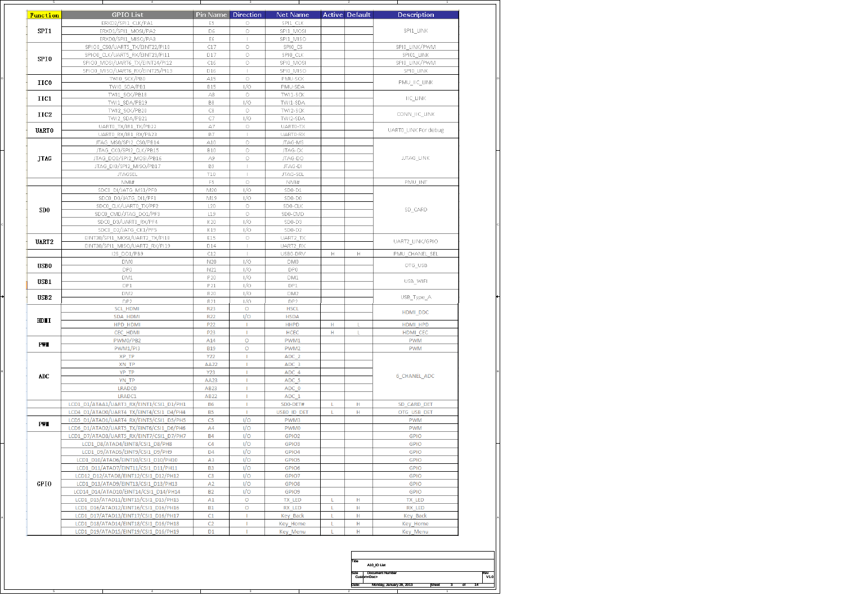| <b>Function</b>   | GPIO List<br>ERXD2/SPI1_CLK/PA1          | Pin Name<br>E5 | Direction<br>$\circ$ | Net Name<br>SPI1 CLK |   | <b>Active Default</b> | Description          |  |
|-------------------|------------------------------------------|----------------|----------------------|----------------------|---|-----------------------|----------------------|--|
| SPI1              | ERXD1/SPI1 MOSI/PA2                      | D6             | $\circ$              | SPI1 MOSI            |   |                       | SPI1_LINK            |  |
|                   | ERXD0/SPI1_MISO/PA3                      | E6             | $\mathbb{L}$         | SPI1_MISO            |   |                       |                      |  |
|                   | SPIO0_CS0/UART5_TX/EINT22/PI10           | C17            | $\circ$              | SPIO_CS              |   |                       | SPIO_LINK/PWM        |  |
|                   | SPIO0_CLK/UART5_RX/EINT23/PI11           | D17            | $\circ$              | SPIO_CLK             |   |                       | SPI01_LINK           |  |
| SPI0              | SPIO0_MOSI/UART6_TX/EINT24/PI12          | C16            | $\circ$              | SPIO MOSI            |   |                       | SPIO LINK/PWM        |  |
|                   | SPIO0_MISO/UART6_RX/EINT25/PI13          | D16            | $\mathbf{I}$         | SPIO MISO            |   |                       | SPIO LINK            |  |
|                   | TWI0_SCK/PB0                             | A15            | $\circ$              | PMU-SCK              |   |                       |                      |  |
| IIC0              | TWI0_SDA/PB1                             | <b>B15</b>     | 1/0                  | PMU-SDA              |   |                       | PMU_IIC_LINK         |  |
|                   | TWI1_SCK/PB18                            | $\triangle 8$  | $\circ$              | TWI1-SCK             |   |                       |                      |  |
| IIC1              | TWI1_SDA/PB19                            | B8             | I/0                  | TWI1-SDA             |   |                       | <b>IIC_LINK</b>      |  |
|                   | TWI2_SCK/PB20                            | C8             | $\circ$              | TWI2-SCK             |   |                       |                      |  |
| IIC2              | TWI2 SDA/PB21                            | C7             | 1/0                  | TWI2-SDA             |   |                       | CONN_IIC_LINK        |  |
|                   | UARTO TX/IR1 TX/PB22                     | A7             | $\circ$              | UART0-TX             |   |                       |                      |  |
| <b>UART0</b>      | UARTO_RX/IR1_RX/PB23                     | <b>B7</b>      | $\mathbb{L}$         | UART0-RX             |   |                       | UARTO_LINK For debug |  |
|                   | JTAG_MS0/SPI2_CS0/PB14                   | A10            | $\circ$              | JTAG-MS              |   |                       |                      |  |
|                   | JTAG_CK0/SPI2_CLK/PB15                   | <b>B10</b>     | $\circ$              | JTAG-CK              |   |                       |                      |  |
| <b>JTAG</b>       | JTAG_DO0/SPI2_MOSI/PB16                  | A9             | $\circ$              | JTAG-DO              |   |                       | <b>JJTAG_LINK</b>    |  |
|                   | JTAG_DI0/SPI2_MISO/PB17                  | <b>B9</b>      |                      | JTAG-DI              |   |                       |                      |  |
|                   | <b>JTAGSEL</b>                           | T10            |                      | JTAG-SEL             |   |                       |                      |  |
|                   | NM#                                      | F <sub>5</sub> | $\circ$              | NMI#                 |   |                       | PMU_INT              |  |
|                   | SDC0_DI/JATG_MS1/PF0                     | M20            | 1/0                  | SD <sub>0</sub> -D1  |   |                       |                      |  |
|                   | SDC0 D0/JATG DI1/PF1                     | M19            | 1/0                  | SD0-D0               |   |                       |                      |  |
|                   | SDC0 CLK/UART0 TX/PF2                    | L20            | $\circ$              | SD0-CLK              |   |                       |                      |  |
| SD <sub>0</sub>   | SDC0 CMD/JTAG DO1/PF3                    | L19            | $\circ$              | SD0-CMD              |   |                       | SD_CARD              |  |
|                   | SDC0 D3/UART0 RX/PF4                     | K20            | 1/0                  | SD0-D3               |   |                       |                      |  |
|                   | SDC0 D2/JATG CK1/PF5                     | K19            | 1/0                  | $SD0-D2$             |   |                       |                      |  |
|                   | EINT30/SPI1_MOSI/UART2_TX/PI18           | E15            | $\circ$              | UART2_TX             |   |                       |                      |  |
| UART <sub>2</sub> | EINT30/SPI1_MISO/UART2_RX/PI19           | D14            | $\mathbb{L}$         | UART2_RX             |   |                       | UART2_LINK/GPIO      |  |
|                   | 12S_DO1/PB9                              | C12            |                      | USB0-DRV             | H | н                     | PMU_CHANEL_SEL       |  |
|                   | DM <sub>0</sub>                          | N20            | 1/0                  | DM <sub>0</sub>      |   |                       |                      |  |
| <b>USB0</b>       | DP0                                      | N21            | 1/0                  | DP0                  |   |                       | OTG_USB              |  |
|                   | DM1                                      | P20            | 1/0                  | DM1                  |   |                       |                      |  |
| USB1              | DP1                                      | P21            | 1/O                  | DP1                  |   |                       | USB WIFI             |  |
|                   | DM2                                      | R20            | 1/O                  | DM <sub>2</sub>      |   |                       |                      |  |
| USB <sub>2</sub>  | DP <sub>2</sub>                          | R21            | 1/0                  | DP2                  |   |                       | USB_Type_A           |  |
|                   | <b>SCL_HDMI</b>                          | <b>R23</b>     | $\circ$              | <b>HSCL</b>          |   |                       |                      |  |
|                   | SDA HDMI                                 | R22            | 1/O                  | <b>HSDA</b>          |   |                       | HDMI_DDC             |  |
| HDII              | HPD HDMI                                 | P22            | п                    | <b>HHPD</b>          | н | L                     | HDMI HPD             |  |
|                   | CEC_HDMI                                 | P23            | п.                   | <b>HCEC</b>          | н | L                     | HDMI CEC             |  |
| PWI               | PWM0/PB2                                 | A14            | Ō                    | PWM1                 |   |                       | <b>PWM</b>           |  |
|                   | <b>PWM1/PI3</b>                          | <b>B19</b>     | $\circ$              | PWM <sub>2</sub>     |   |                       | <b>PWM</b>           |  |
|                   | XP TP                                    | Y22            | т                    | ADC <sub>2</sub>     |   |                       |                      |  |
|                   | XN TP                                    | <b>AA22</b>    |                      | ADC 3                |   |                       |                      |  |
| ADC               | YP TP                                    | Y23            | т                    | ADC 4                |   |                       | <b>6_CHANEL_ADC</b>  |  |
|                   | YN TP                                    | AA23           | т                    | ADC 5                |   |                       |                      |  |
|                   | <b>LRADCO</b>                            | AB23           |                      | ADC 0                |   |                       |                      |  |
|                   | LRADC1                                   | AB22           | T.                   | ADC_1                |   |                       |                      |  |
|                   | LCD1_D1/ATAA1/UART3_RX/EINT1/CSI1_D1/PH1 | <b>B6</b>      | ٠                    | SD0-DET#             |   | н                     | SD_CARD_DET          |  |
|                   | LCD4 D1/ATAD0/UART4 TX/EINT4/CSI1 D4/PH4 | <b>B5</b>      |                      | USB0 ID DET          |   | н                     | OTG_USB_DET          |  |
| PWI               | LCD5_D1/ATAD1/UART4_RX/EINT5/CSI1_D5/PH5 | C <sub>5</sub> | 1/O                  | PWM3                 |   |                       | <b>PWM</b>           |  |
|                   | LCD6 D1/ATAD2/UART5 TX/EINT6/CSI1 D6/PH6 | A4             | 1/O                  | PWM0                 |   |                       | <b>PWM</b>           |  |
|                   | LCD1 D7/ATAD3/UART5 RX/EINT7/CSI1 D7/PH7 | <b>B4</b>      | 1/O                  | GPIO <sub>2</sub>    |   |                       | GPIO                 |  |
|                   | LCD1_D8/ATAD4/EINT8/CSI1_D8/PH8          | C4             | 1/O                  | GPIO3                |   |                       | GPIO                 |  |
|                   | LCD1_D9/ATAD5/EINT9/CSI1_D9/PH9          | D4             | 170                  | GPIO4                |   |                       | GPIO                 |  |
|                   | LCD1_D10/ATAD6/EINT10/CSI1_D10/PH10      | A <sub>3</sub> | 1/O                  | GPIO5                |   |                       | GPIO                 |  |
|                   | LCD1_D11/ATAD7/EINT11/CSI1_D11/PH11      | B <sub>3</sub> | 1/O                  | GPIO <sub>6</sub>    |   |                       | <b>GPIO</b>          |  |
|                   | LCD12 D12/ATAD8/EINT12/CSI1 D12/PH12     | C <sub>3</sub> | 1/O                  | GPIO7                |   |                       | <b>GPIO</b>          |  |
| GPIO              | LCD1 D13/ATAD9/EINT13/CSI1 D13/PH13      | A <sub>2</sub> | 1/O                  | GPIO8                |   |                       | <b>GPIO</b>          |  |
|                   | LCD14 D14/ATAD10/EINT14/CSI1 D14/PH14    | <b>B2</b>      | I/O                  | GPIO9                |   |                       | <b>GPIO</b>          |  |
|                   | LCD1 D15/ATAD11/EINT15/CSI1 D15/PH15     | A1             | $\circ$              | TX LED               | L | н                     | TX LED               |  |
|                   | LCD1_D16/ATAD12/EINT16/CSI1_D16/PH16     | <b>B1</b>      | $\circ$              | RX_LED               | L | н                     | RX_LED               |  |
|                   | LCD1_D17/ATAD13/EINT17/CSI1_D16/PH17     | C1             | T.                   | Key Back             | L | н                     | Key_Back             |  |
|                   | LCD1 D18/ATAD14/EINT18/CSI1 D16/PH18     | C <sub>2</sub> | T.                   | Key_Home             | L | н                     | Key_Home             |  |
|                   | LCD1 D19/ATAD15/EINT19/CSI1 D16/PH19     | D <sub>1</sub> | T.                   | Key_Menu             | L | н                     | <b>Key Menu</b>      |  |
|                   |                                          |                |                      |                      |   |                       |                      |  |

| Title | A10 IO List                                  |              |  |             |
|-------|----------------------------------------------|--------------|--|-------------|
| Size  | <b>Document Number</b><br>Custom <doc></doc> |              |  | Rev<br>V1.0 |
| Date: | Monday, January 28, 2013                     | <b>Sheet</b> |  |             |
|       |                                              |              |  |             |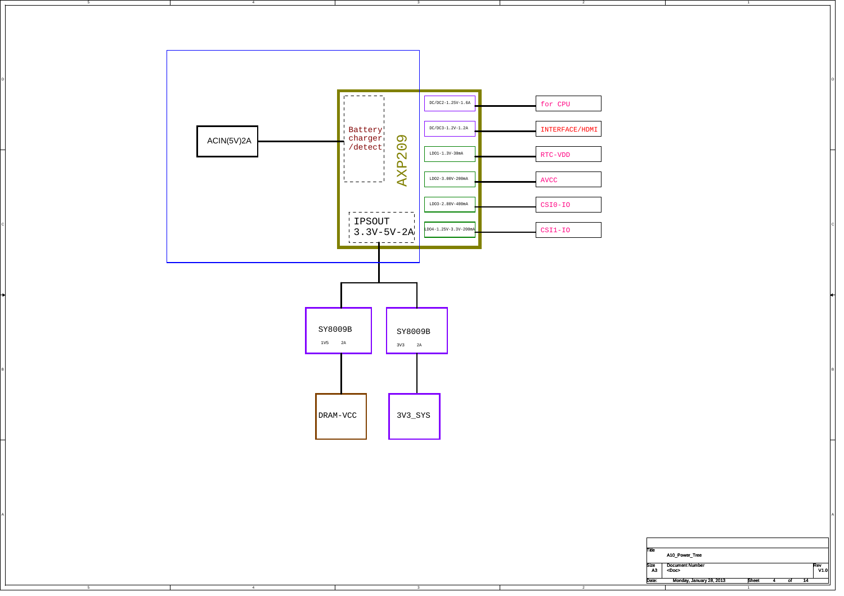

B

A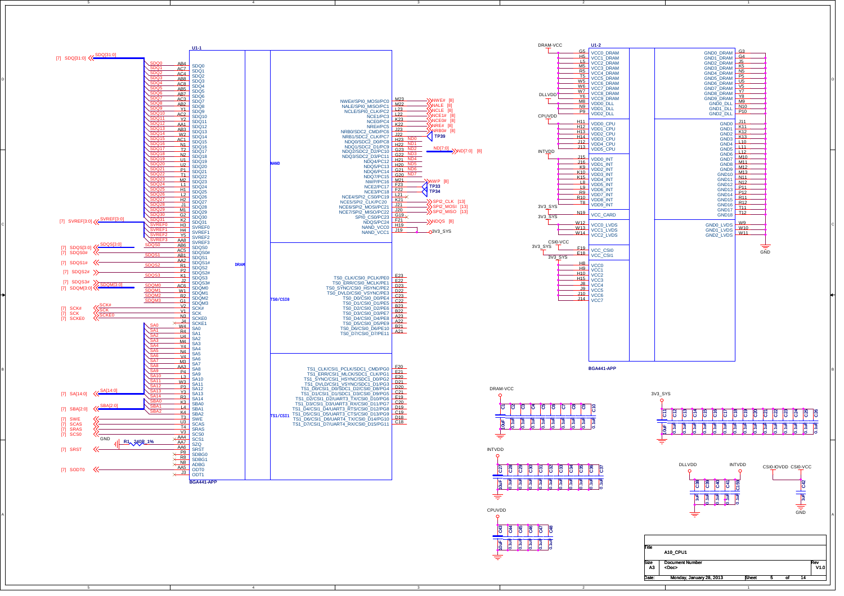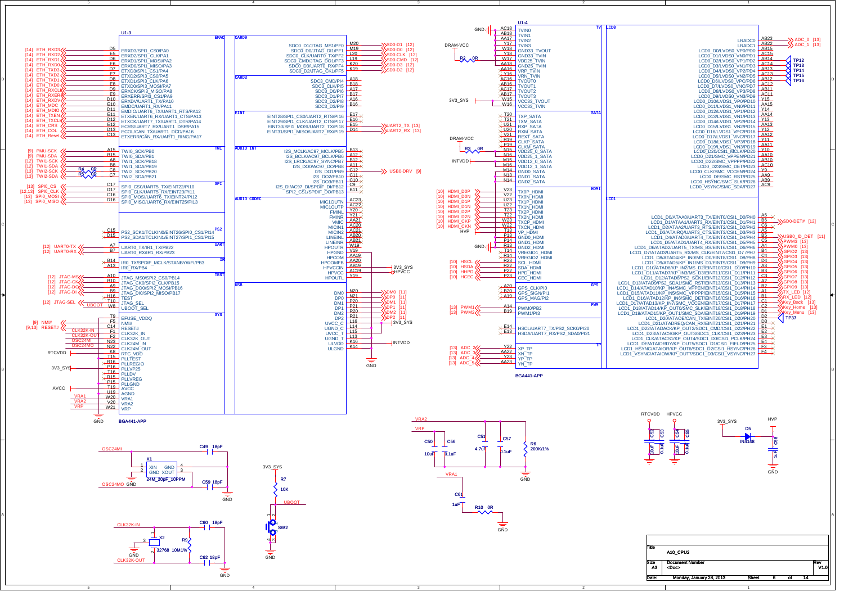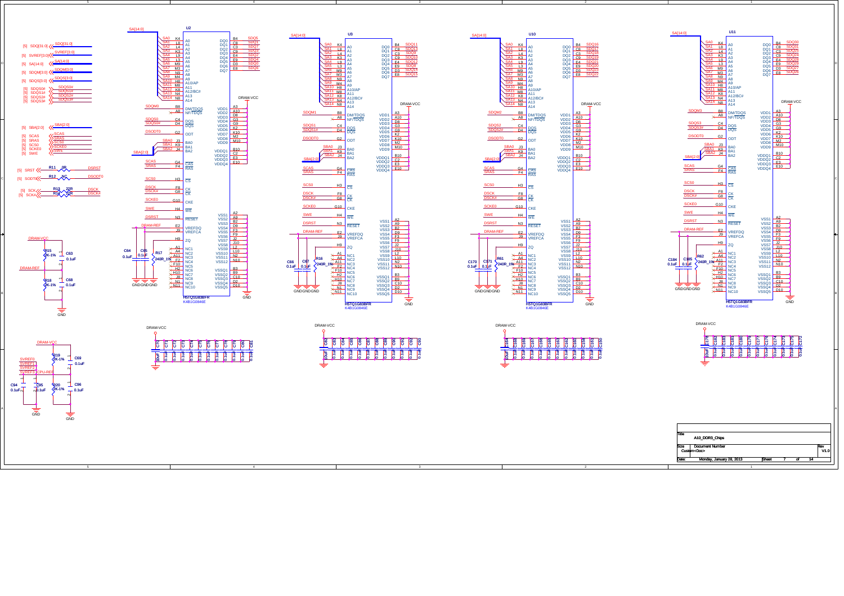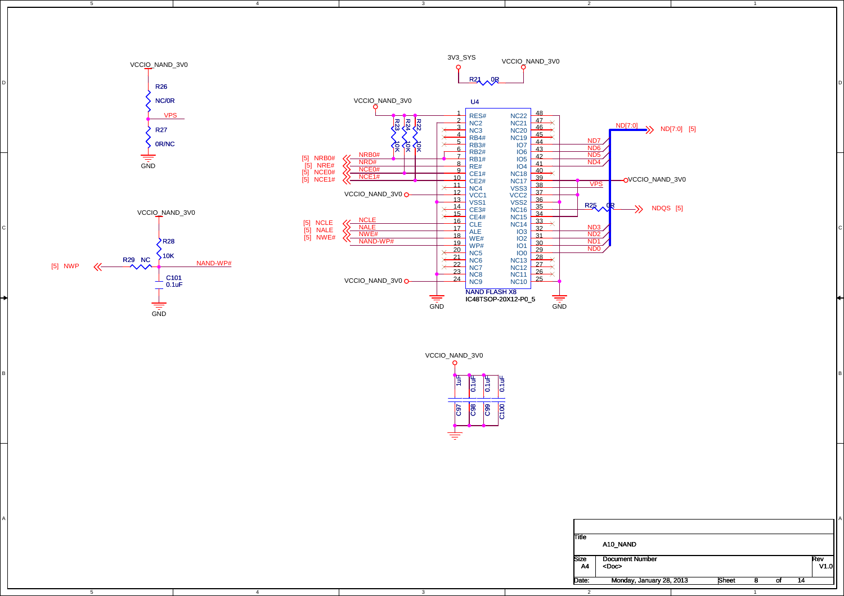

3

VCCIO\_NAND\_3V0

R3<br>성 ₹Į

<sup>D</sup>

4

5

VPS

R27

VCCIO\_NAND\_3V0

R26NC/0R

D

3V3\_SYS VCCIO\_NAND\_3V0 $\Omega$  $R21 \wedge 0$ 

NC21<br>NC20

NC22

 $\frac{4}{5}$  RB4# NC19  $\frac{45}{44}$ 

 $\overline{45}$   $\overline{\times}$ 

 $\overline{\mathsf{X}}$  $\overline{\mathsf{X}}$ 

47

 $46$ 

U4

 $\frac{2}{\text{N}} \text{NC2}$ 

 $\times$ 

 $\frac{1}{2}$  RES#

RB4#

2

ND7

ND[7:0]

 $\rightarrow$  ND[7:0] [5]

1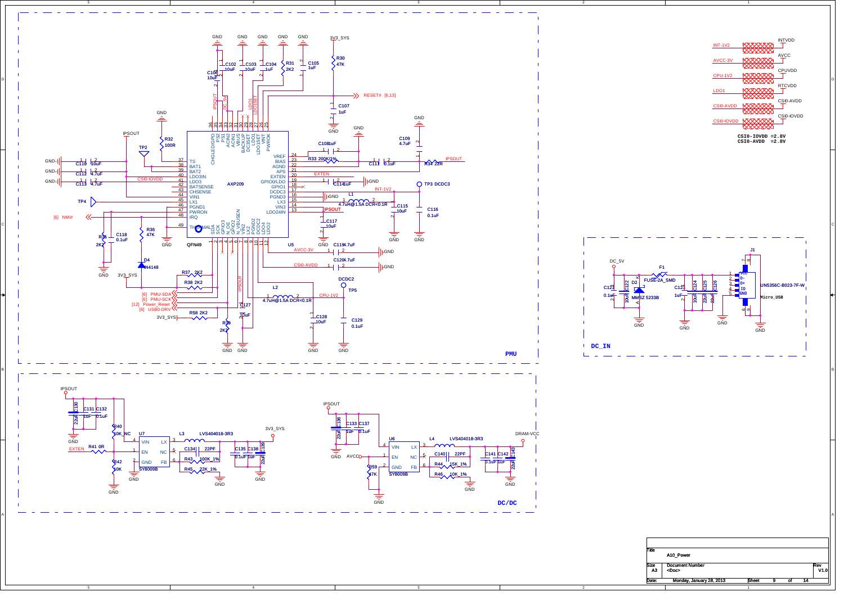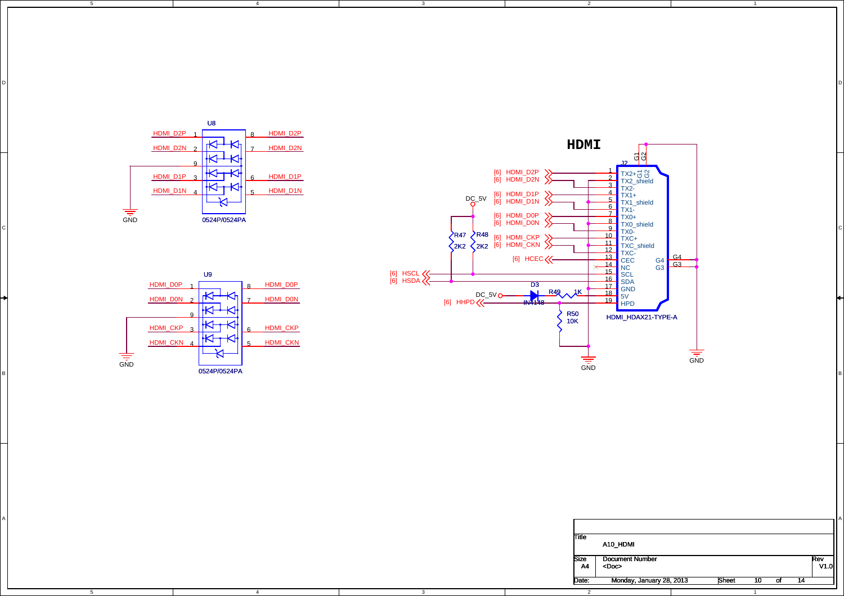

4

3

D I DIRECT DIRECT DIRECT DIRECT DIRECT DIRECT DIRECT DIRECT DIRECT DIRECT DIRECT DIRECT DIRECT DIRECT DIRECT D

3

5

D

C

A

5



2



4



1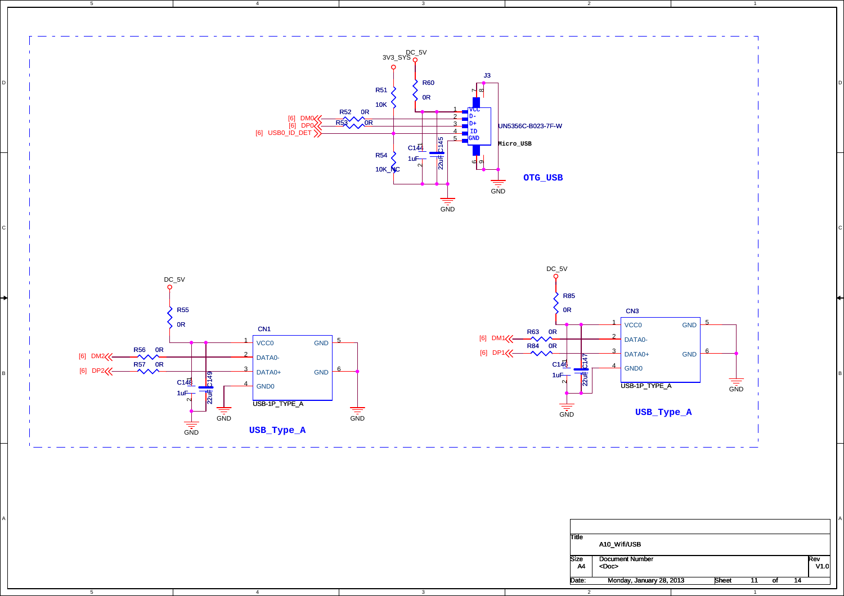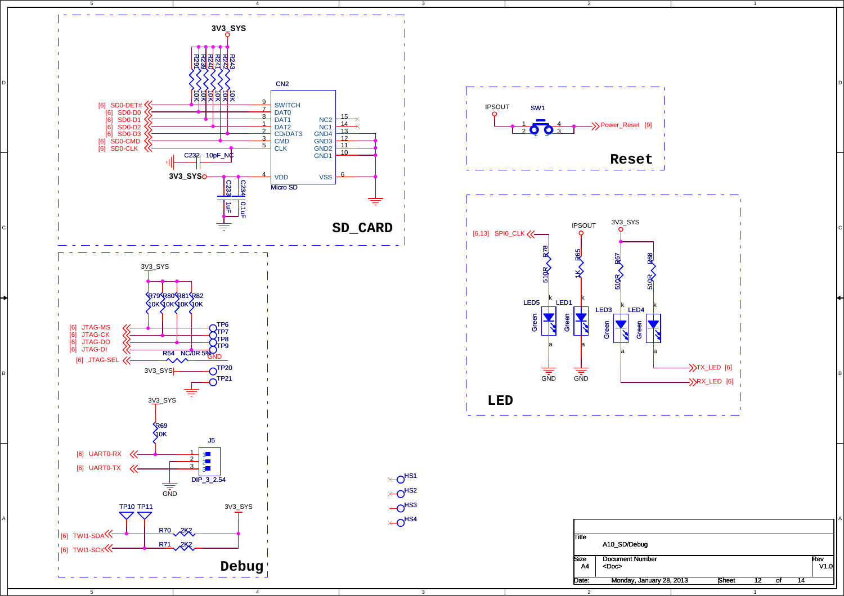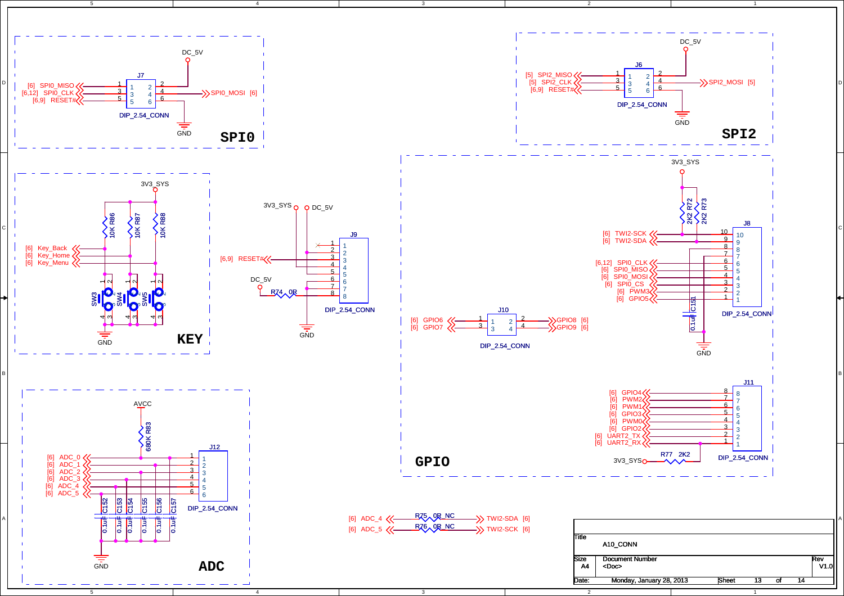